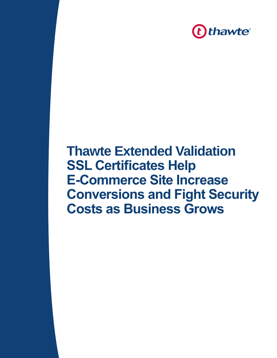

# **Thawte Extended Validation SSL Certificates Help E-Commerce Site Increase Conversions and Fight Security Costs as Business Grows**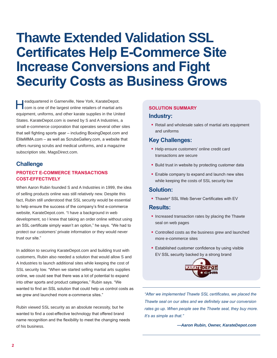# **Thawte Extended Validation SSL Certificates Help E-Commerce Site Increase Conversions and Fight Security Costs as Business Grows**

eadquartered in Garnerville, New York, KarateDepot.<br>
com is one of the largest online retailers of martial arts equipment, uniforms, and other karate supplies in the United States. KarateDepot.com is owned by S and A Industries, a small e-commerce corporation that operates several other sites that sell fighting sports gear – including BoxingDepot.com and EliteMMA.com – as well as ScrubsGallery.com, a website that offers nursing scrubs and medical uniforms, and a magazine subscription site, MagsDirect.com.

## **Challenge**

#### **PROTECT E-COMMERCE TRANSACTIONS COST-EFFECTIVELY**

When Aaron Rubin founded S and A Industries in 1999, the idea of selling products online was still relatively new. Despite this fact, Rubin still understood that SSL security would be essential to help ensure the success of the company's first e-commerce website, KarateDepot.com. "I have a background in web development, so I knew that taking an order online without using an SSL certificate simply wasn't an option," he says. "We had to protect our customers' private information or they would never trust our site."

In addition to securing KarateDepot.com and building trust with customers, Rubin also needed a solution that would allow S and A Industries to launch additional sites while keeping the cost of SSL security low. "When we started selling martial arts supplies online, we could see that there was a lot of potential to expand into other sports and product categories," Rubin says. "We wanted to find an SSL solution that could help us control costs as we grew and launched more e-commerce sites."

Rubin viewed SSL security as an absolute necessity, but he wanted to find a cost-effective technology that offered brand name recognition and the flexibility to meet the changing needs of his business.

#### **SOLUTION SUMMARY**

#### **Industry:**

• Retail and wholesale sales of martial arts equipment and uniforms

### **Key Challenges:**

- Help ensure customers' online credit card transactions are secure
- Build trust in website by protecting customer data
- Enable company to expand and launch new sites while keeping the costs of SSL security low

### **Solution:**

• Thawte® SSL Web Server Certificates with EV

#### **Results:**

- Increased transaction rates by placing the Thawte seal on web pages
- Controlled costs as the business grew and launched more e-commerce sites
- Established customer confidence by using visible EV SSL security backed by a strong brand



*"After we implemented Thawte SSL certificates, we placed the Thawte seal on our sites and we definitely saw our conversion rates go up. When people see the Thawte seal, they buy more. It's as simple as that."*

*—Aaron Rubin, Owner, KarateDepot.com*